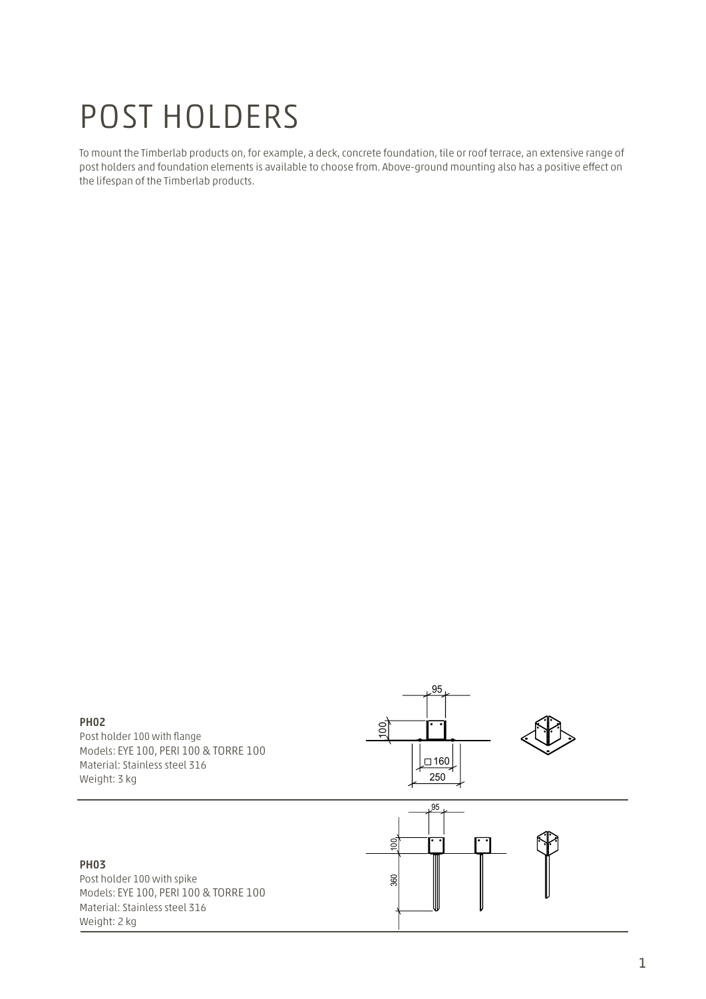# POST HOLDERS

To mount the Timberlab products on, for example, a deck, concrete foundation, tile or roof terrace, an extensive range of post holders and foundation elements is available to choose from. Above-ground mounting also has a positive effect on the lifespan of the Timberlab products.

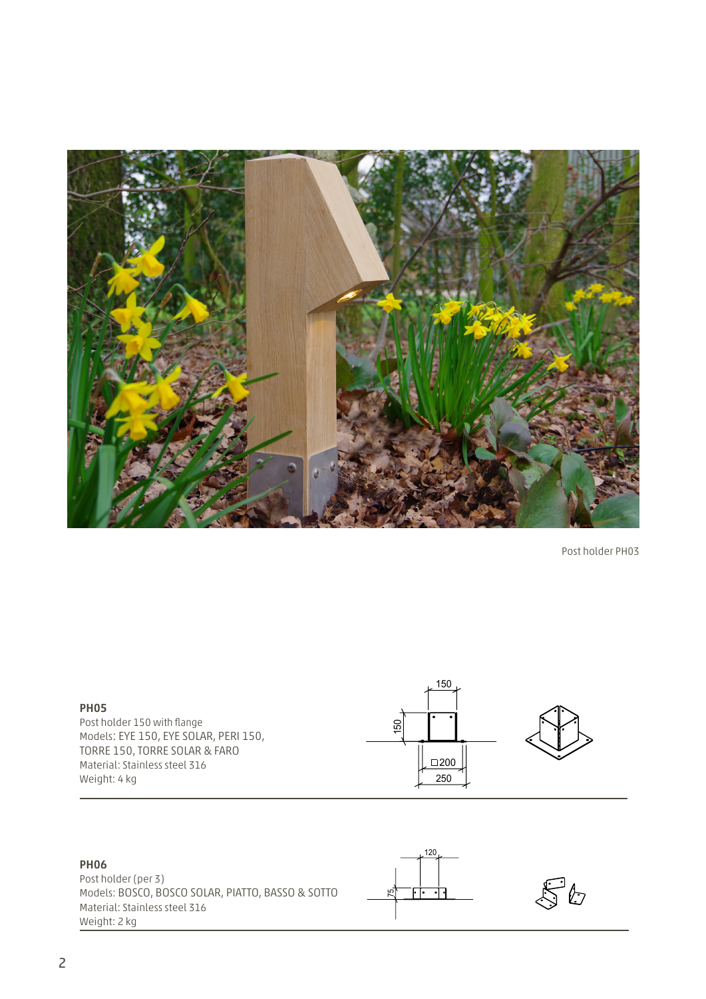

Post holder PH03



## PH06

Post holder (per 3) Models: BOSCO, BOSCO SOLAR, PIATTO, BASSO & SOTTO Material: Stainless steel 316 Weight: 2 kg